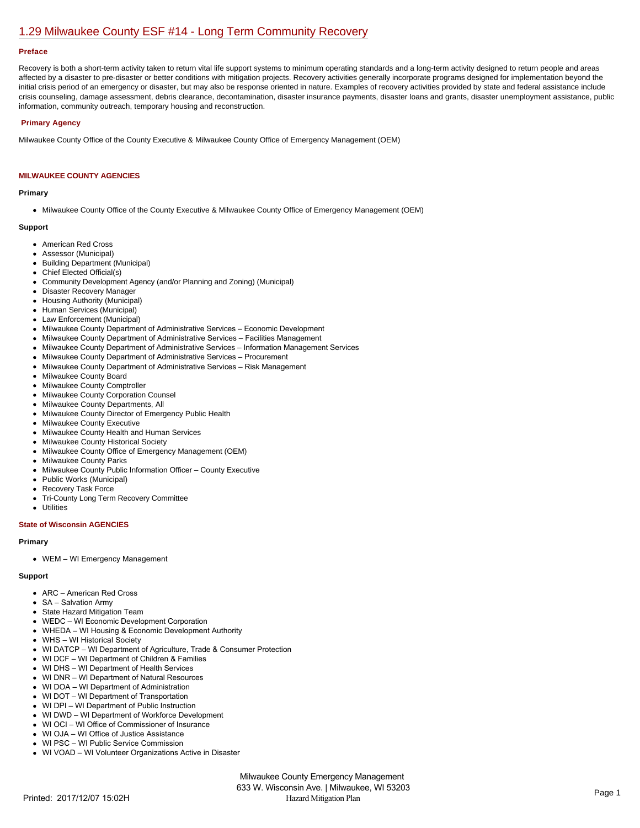# [1.29 Milwaukee County ESF #14 - Long Term Community Recovery](https://milwaukeecounty.isc-cemp.com/Cemp/Details?id=5805905)

#### **Preface**

Recovery is both a short-term activity taken to return vital life support systems to minimum operating standards and a long-term activity designed to return people and areas affected by a disaster to pre-disaster or better conditions with mitigation projects. Recovery activities generally incorporate programs designed for implementation beyond the initial crisis period of an emergency or disaster, but may also be response oriented in nature. Examples of recovery activities provided by state and federal assistance include crisis counseling, damage assessment, debris clearance, decontamination, disaster insurance payments, disaster loans and grants, disaster unemployment assistance, public information, community outreach, temporary housing and reconstruction.

# **Primary Agency**

Milwaukee County Office of the County Executive & Milwaukee County Office of Emergency Management (OEM)

# **MILWAUKEE COUNTY AGENCIES**

#### **Primary**

Milwaukee County Office of the County Executive & Milwaukee County Office of Emergency Management (OEM)

#### **Support**

- American Red Cross
- Assessor (Municipal)
- Building Department (Municipal)
- Chief Elected Official(s)
- Community Development Agency (and/or Planning and Zoning) (Municipal)
- Disaster Recovery Manager
- Housing Authority (Municipal)
- Human Services (Municipal)
- Law Enforcement (Municipal)
- Milwaukee County Department of Administrative Services Economic Development
- Milwaukee County Department of Administrative Services Facilities Management
- Milwaukee County Department of Administrative Services Information Management Services
- Milwaukee County Department of Administrative Services Procurement
- $\bullet$ Milwaukee County Department of Administrative Services – Risk Management
- Milwaukee County Board  $\bullet$
- Milwaukee County Comptroller
- Milwaukee County Corporation Counsel
- Milwaukee County Departments, All  $\bullet$
- Milwaukee County Director of Emergency Public Health
- **Milwaukee County Executive**
- $\bullet$ Milwaukee County Health and Human Services
- Milwaukee County Historical Society
- Milwaukee County Office of Emergency Management (OEM)
- Milwaukee County Parks
- Milwaukee County Public Information Officer County Executive  $\bullet$
- $\bullet$ Public Works (Municipal)
- Recovery Task Force
- Tri-County Long Term Recovery Committee  $\bullet$
- **Utilities**

# **State of Wisconsin AGENCIES**

#### **Primary**

WEM – WI Emergency Management

#### **Support**

- ARC American Red Cross
- SA Salvation Army
- State Hazard Mitigation Team
- WEDC WI Economic Development Corporation
- WHEDA WI Housing & Economic Development Authority
- WHS WI Historical Society
- WI DATCP WI Department of Agriculture, Trade & Consumer Protection
- WI DCF WI Department of Children & Families
- WI DHS WI Department of Health Services
- WI DNR WI Department of Natural Resources
- WI DOA WI Department of Administration
- WI DOT WI Department of Transportation
- WI DPI WI Department of Public Instruction
- WI DWD WI Department of Workforce Development
- WI OCI WI Office of Commissioner of Insurance
- WI OJA WI Office of Justice Assistance
- WI PSC WI Public Service Commission
- WI VOAD WI Volunteer Organizations Active in Disaster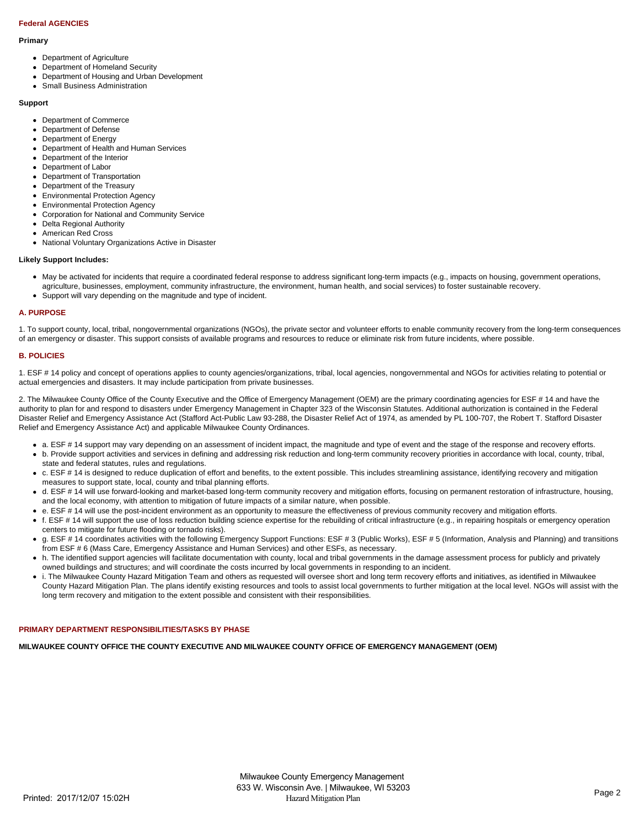# **Federal AGENCIES**

#### **Primary**

- Department of Agriculture
- Department of Homeland Security
- Department of Housing and Urban Development
- Small Business Administration

#### **Support**

- Department of Commerce
- Department of Defense
- Department of Energy
- Department of Health and Human Services
- Department of the Interior
- $\bullet$ Department of Labor
- Department of Transportation
- Department of the Treasury
- Environmental Protection Agency
- Environmental Protection Agency  $\bullet$
- Corporation for National and Community Service
- Delta Regional Authority
- American Red Cross
- National Voluntary Organizations Active in Disaster

#### **Likely Support Includes:**

- May be activated for incidents that require a coordinated federal response to address significant long-term impacts (e.g., impacts on housing, government operations, agriculture, businesses, employment, community infrastructure, the environment, human health, and social services) to foster sustainable recovery.
- Support will vary depending on the magnitude and type of incident.

#### **A. PURPOSE**

1. To support county, local, tribal, nongovernmental organizations (NGOs), the private sector and volunteer efforts to enable community recovery from the long-term consequences of an emergency or disaster. This support consists of available programs and resources to reduce or eliminate risk from future incidents, where possible.

# **B. POLICIES**

1. ESF # 14 policy and concept of operations applies to county agencies/organizations, tribal, local agencies, nongovernmental and NGOs for activities relating to potential or actual emergencies and disasters. It may include participation from private businesses.

2. The Milwaukee County Office of the County Executive and the Office of Emergency Management (OEM) are the primary coordinating agencies for ESF # 14 and have the authority to plan for and respond to disasters under Emergency Management in Chapter 323 of the Wisconsin Statutes. Additional authorization is contained in the Federal Disaster Relief and Emergency Assistance Act (Stafford Act-Public Law 93-288, the Disaster Relief Act of 1974, as amended by PL 100-707, the Robert T. Stafford Disaster Relief and Emergency Assistance Act) and applicable Milwaukee County Ordinances.

- a. ESF # 14 support may vary depending on an assessment of incident impact, the magnitude and type of event and the stage of the response and recovery efforts.
- b. Provide support activities and services in defining and addressing risk reduction and long-term community recovery priorities in accordance with local, county, tribal, state and federal statutes, rules and regulations.
- c. ESF # 14 is designed to reduce duplication of effort and benefits, to the extent possible. This includes streamlining assistance, identifying recovery and mitigation measures to support state, local, county and tribal planning efforts.
- d. ESF # 14 will use forward-looking and market-based long-term community recovery and mitigation efforts, focusing on permanent restoration of infrastructure, housing, and the local economy, with attention to mitigation of future impacts of a similar nature, when possible.
- e. ESF # 14 will use the post-incident environment as an opportunity to measure the effectiveness of previous community recovery and mitigation efforts.
- f. ESF # 14 will support the use of loss reduction building science expertise for the rebuilding of critical infrastructure (e.g., in repairing hospitals or emergency operation centers to mitigate for future flooding or tornado risks).
- g. ESF # 14 coordinates activities with the following Emergency Support Functions: ESF # 3 (Public Works), ESF # 5 (Information, Analysis and Planning) and transitions from ESF # 6 (Mass Care, Emergency Assistance and Human Services) and other ESFs, as necessary.
- h. The identified support agencies will facilitate documentation with county, local and tribal governments in the damage assessment process for publicly and privately owned buildings and structures; and will coordinate the costs incurred by local governments in responding to an incident.
- i. The Milwaukee County Hazard Mitigation Team and others as requested will oversee short and long term recovery efforts and initiatives, as identified in Milwaukee County Hazard Mitigation Plan. The plans identify existing resources and tools to assist local governments to further mitigation at the local level. NGOs will assist with the long term recovery and mitigation to the extent possible and consistent with their responsibilities.

# **PRIMARY DEPARTMENT RESPONSIBILITIES/TASKS BY PHASE**

**MILWAUKEE COUNTY OFFICE THE COUNTY EXECUTIVE AND MILWAUKEE COUNTY OFFICE OF EMERGENCY MANAGEMENT (OEM)**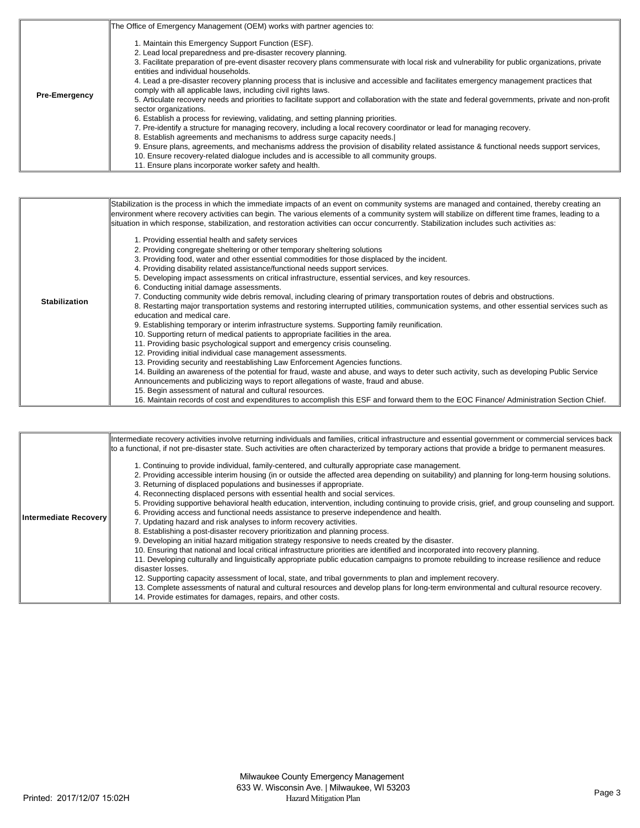|                      | The Office of Emergency Management (OEM) works with partner agencies to:                                                                                                                                                                                                                                                                                                                                                                                                                                                                                                                                                                                                                                                                                                                                                                                                                                                                                                                                                                                                                                                                                                                                                                                                                              |
|----------------------|-------------------------------------------------------------------------------------------------------------------------------------------------------------------------------------------------------------------------------------------------------------------------------------------------------------------------------------------------------------------------------------------------------------------------------------------------------------------------------------------------------------------------------------------------------------------------------------------------------------------------------------------------------------------------------------------------------------------------------------------------------------------------------------------------------------------------------------------------------------------------------------------------------------------------------------------------------------------------------------------------------------------------------------------------------------------------------------------------------------------------------------------------------------------------------------------------------------------------------------------------------------------------------------------------------|
| <b>Pre-Emergency</b> | 1. Maintain this Emergency Support Function (ESF).<br>2. Lead local preparedness and pre-disaster recovery planning.<br>3. Facilitate preparation of pre-event disaster recovery plans commensurate with local risk and vulnerability for public organizations, private<br>entities and individual households.<br>4. Lead a pre-disaster recovery planning process that is inclusive and accessible and facilitates emergency management practices that<br>comply with all applicable laws, including civil rights laws.<br>5. Articulate recovery needs and priorities to facilitate support and collaboration with the state and federal governments, private and non-profit<br>sector organizations.<br>6. Establish a process for reviewing, validating, and setting planning priorities.<br>7. Pre-identify a structure for managing recovery, including a local recovery coordinator or lead for managing recovery.<br>8. Establish agreements and mechanisms to address surge capacity needs.<br>9. Ensure plans, agreements, and mechanisms address the provision of disability related assistance & functional needs support services,<br>10. Ensure recovery-related dialogue includes and is accessible to all community groups.<br>11. Ensure plans incorporate worker safety and health. |

|                      | Stabilization is the process in which the immediate impacts of an event on community systems are managed and contained, thereby creating an<br>environment where recovery activities can begin. The various elements of a community system will stabilize on different time frames, leading to a<br>situation in which response, stabilization, and restoration activities can occur concurrently. Stabilization includes such activities as:                                                                                                                                                                                                                                                                                                                                                                                                                                                                                                                                                                                                                                                                                                                                                                                                                                                                                                                                                                                                                                                                                                                                                                                                     |
|----------------------|---------------------------------------------------------------------------------------------------------------------------------------------------------------------------------------------------------------------------------------------------------------------------------------------------------------------------------------------------------------------------------------------------------------------------------------------------------------------------------------------------------------------------------------------------------------------------------------------------------------------------------------------------------------------------------------------------------------------------------------------------------------------------------------------------------------------------------------------------------------------------------------------------------------------------------------------------------------------------------------------------------------------------------------------------------------------------------------------------------------------------------------------------------------------------------------------------------------------------------------------------------------------------------------------------------------------------------------------------------------------------------------------------------------------------------------------------------------------------------------------------------------------------------------------------------------------------------------------------------------------------------------------------|
| <b>Stabilization</b> | 1. Providing essential health and safety services<br>2. Providing congregate sheltering or other temporary sheltering solutions<br>3. Providing food, water and other essential commodities for those displaced by the incident.<br>4. Providing disability related assistance/functional needs support services.<br>5. Developing impact assessments on critical infrastructure, essential services, and key resources.<br>6. Conducting initial damage assessments.<br>7. Conducting community wide debris removal, including clearing of primary transportation routes of debris and obstructions.<br>8. Restarting major transportation systems and restoring interrupted utilities, communication systems, and other essential services such as<br>education and medical care.<br>9. Establishing temporary or interim infrastructure systems. Supporting family reunification.<br>10. Supporting return of medical patients to appropriate facilities in the area.<br>11. Providing basic psychological support and emergency crisis counseling.<br>12. Providing initial individual case management assessments.<br>13. Providing security and reestablishing Law Enforcement Agencies functions.<br>14. Building an awareness of the potential for fraud, waste and abuse, and ways to deter such activity, such as developing Public Service<br>Announcements and publicizing ways to report allegations of waste, fraud and abuse.<br>15. Begin assessment of natural and cultural resources.<br>16. Maintain records of cost and expenditures to accomplish this ESF and forward them to the EOC Finance/Administration Section Chief. |

|                          | Intermediate recovery activities involve returning individuals and families, critical infrastructure and essential government or commercial services back |
|--------------------------|-----------------------------------------------------------------------------------------------------------------------------------------------------------|
|                          | to a functional, if not pre-disaster state. Such activities are often characterized by temporary actions that provide a bridge to permanent measures.     |
|                          | 1. Continuing to provide individual, family-centered, and culturally appropriate case management.                                                         |
|                          | 2. Providing accessible interim housing (in or outside the affected area depending on suitability) and planning for long-term housing solutions.          |
|                          | 3. Returning of displaced populations and businesses if appropriate.                                                                                      |
|                          | 4. Reconnecting displaced persons with essential health and social services.                                                                              |
|                          | 5. Providing supportive behavioral health education, intervention, including continuing to provide crisis, grief, and group counseling and support.       |
| ∣Intermediate Recoverv ॑ | 6. Providing access and functional needs assistance to preserve independence and health.                                                                  |
|                          | 7. Updating hazard and risk analyses to inform recovery activities.                                                                                       |
|                          | 8. Establishing a post-disaster recovery prioritization and planning process.                                                                             |
|                          | 9. Developing an initial hazard mitigation strategy responsive to needs created by the disaster.                                                          |
|                          | 10. Ensuring that national and local critical infrastructure priorities are identified and incorporated into recovery planning.                           |
|                          | 11. Developing culturally and linguistically appropriate public education campaigns to promote rebuilding to increase resilience and reduce               |
|                          | disaster losses.                                                                                                                                          |
|                          | 12. Supporting capacity assessment of local, state, and tribal governments to plan and implement recovery.                                                |
|                          | 13. Complete assessments of natural and cultural resources and develop plans for long-term environmental and cultural resource recovery.                  |
|                          | 14. Provide estimates for damages, repairs, and other costs.                                                                                              |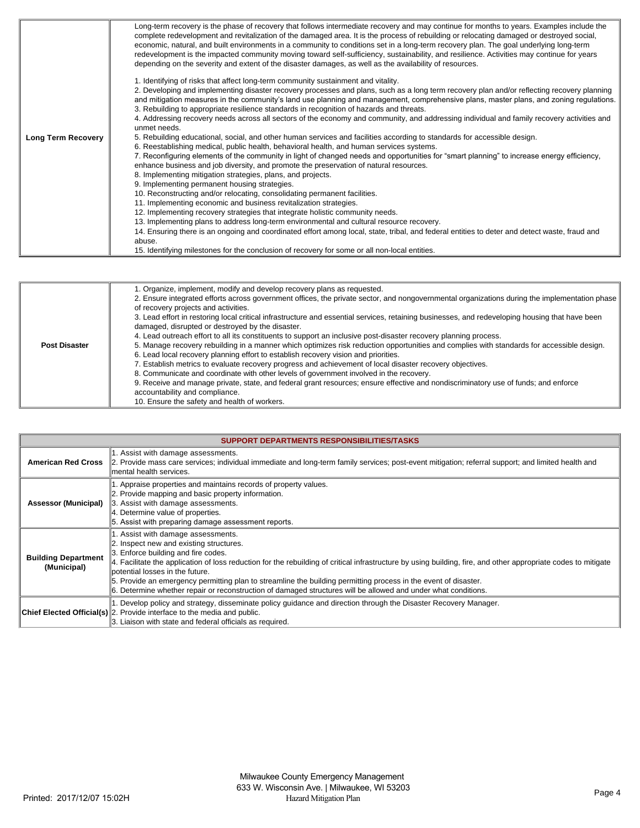|                           | Long-term recovery is the phase of recovery that follows intermediate recovery and may continue for months to years. Examples include the<br>complete redevelopment and revitalization of the damaged area. It is the process of rebuilding or relocating damaged or destroyed social,<br>economic, natural, and built environments in a community to conditions set in a long-term recovery plan. The goal underlying long-term<br>redevelopment is the impacted community moving toward self-sufficiency, sustainability, and resilience. Activities may continue for years<br>depending on the severity and extent of the disaster damages, as well as the availability of resources. |
|---------------------------|------------------------------------------------------------------------------------------------------------------------------------------------------------------------------------------------------------------------------------------------------------------------------------------------------------------------------------------------------------------------------------------------------------------------------------------------------------------------------------------------------------------------------------------------------------------------------------------------------------------------------------------------------------------------------------------|
|                           | 1. Identifying of risks that affect long-term community sustainment and vitality.<br>2. Developing and implementing disaster recovery processes and plans, such as a long term recovery plan and/or reflecting recovery planning<br>and mitigation measures in the community's land use planning and management, comprehensive plans, master plans, and zoning regulations.<br>3. Rebuilding to appropriate resilience standards in recognition of hazards and threats.<br>4. Addressing recovery needs across all sectors of the economy and community, and addressing individual and family recovery activities and<br>unmet needs.                                                    |
| <b>Long Term Recovery</b> | 5. Rebuilding educational, social, and other human services and facilities according to standards for accessible design.                                                                                                                                                                                                                                                                                                                                                                                                                                                                                                                                                                 |
|                           | 6. Reestablishing medical, public health, behavioral health, and human services systems.<br>7. Reconfiguring elements of the community in light of changed needs and opportunities for "smart planning" to increase energy efficiency,                                                                                                                                                                                                                                                                                                                                                                                                                                                   |
|                           | enhance business and job diversity, and promote the preservation of natural resources.                                                                                                                                                                                                                                                                                                                                                                                                                                                                                                                                                                                                   |
|                           | 8. Implementing mitigation strategies, plans, and projects.                                                                                                                                                                                                                                                                                                                                                                                                                                                                                                                                                                                                                              |
|                           | 9. Implementing permanent housing strategies.<br>10. Reconstructing and/or relocating, consolidating permanent facilities.                                                                                                                                                                                                                                                                                                                                                                                                                                                                                                                                                               |
|                           | 11. Implementing economic and business revitalization strategies.                                                                                                                                                                                                                                                                                                                                                                                                                                                                                                                                                                                                                        |
|                           | 12. Implementing recovery strategies that integrate holistic community needs.                                                                                                                                                                                                                                                                                                                                                                                                                                                                                                                                                                                                            |
|                           | 13. Implementing plans to address long-term environmental and cultural resource recovery.                                                                                                                                                                                                                                                                                                                                                                                                                                                                                                                                                                                                |
|                           | 14. Ensuring there is an ongoing and coordinated effort among local, state, tribal, and federal entities to deter and detect waste, fraud and                                                                                                                                                                                                                                                                                                                                                                                                                                                                                                                                            |
|                           | abuse.                                                                                                                                                                                                                                                                                                                                                                                                                                                                                                                                                                                                                                                                                   |
|                           | 15. Identifying milestones for the conclusion of recovery for some or all non-local entities.                                                                                                                                                                                                                                                                                                                                                                                                                                                                                                                                                                                            |

|                      | 1. Organize, implement, modify and develop recovery plans as requested.                                                                         |
|----------------------|-------------------------------------------------------------------------------------------------------------------------------------------------|
|                      | 2. Ensure integrated efforts across government offices, the private sector, and nongovernmental organizations during the implementation phase   |
|                      | of recovery projects and activities.                                                                                                            |
|                      | 3. Lead effort in restoring local critical infrastructure and essential services, retaining businesses, and redeveloping housing that have been |
|                      | damaged, disrupted or destroyed by the disaster.                                                                                                |
|                      | 4. Lead outreach effort to all its constituents to support an inclusive post-disaster recovery planning process.                                |
| <b>Post Disaster</b> | 5. Manage recovery rebuilding in a manner which optimizes risk reduction opportunities and complies with standards for accessible design.       |
|                      | 6. Lead local recovery planning effort to establish recovery vision and priorities.                                                             |
|                      | 7. Establish metrics to evaluate recovery progress and achievement of local disaster recovery objectives.                                       |
|                      | 8. Communicate and coordinate with other levels of government involved in the recovery.                                                         |
|                      | 9. Receive and manage private, state, and federal grant resources; ensure effective and nondiscriminatory use of funds; and enforce             |
|                      |                                                                                                                                                 |
|                      | accountability and compliance.                                                                                                                  |
|                      | 10. Ensure the safety and health of workers.                                                                                                    |

| SUPPORT DEPARTMENTS RESPONSIBILITIES/TASKS |                                                                                                                                                                                                                                                                                                                                                                                                                                                                                                                                                                |
|--------------------------------------------|----------------------------------------------------------------------------------------------------------------------------------------------------------------------------------------------------------------------------------------------------------------------------------------------------------------------------------------------------------------------------------------------------------------------------------------------------------------------------------------------------------------------------------------------------------------|
| <b>American Red Cross</b>                  | 1. Assist with damage assessments.<br>2. Provide mass care services; individual immediate and long-term family services; post-event mitigation; referral support; and limited health and<br>lmental health services.                                                                                                                                                                                                                                                                                                                                           |
| Assessor (Municipal)                       | 1. Appraise properties and maintains records of property values.<br>2. Provide mapping and basic property information.<br>3. Assist with damage assessments.<br>4. Determine value of properties.<br>5. Assist with preparing damage assessment reports.                                                                                                                                                                                                                                                                                                       |
| <b>Building Department</b><br>(Municipal)  | 1. Assist with damage assessments.<br>2. Inspect new and existing structures.<br>3. Enforce building and fire codes.<br>4. Facilitate the application of loss reduction for the rebuilding of critical infrastructure by using building, fire, and other appropriate codes to mitigate<br>botential losses in the future.<br>5. Provide an emergency permitting plan to streamline the building permitting process in the event of disaster.<br>6. Determine whether repair or reconstruction of damaged structures will be allowed and under what conditions. |
|                                            | 1. Develop policy and strategy, disseminate policy guidance and direction through the Disaster Recovery Manager.<br>Chief Elected Official(s) 2. Provide interface to the media and public.<br>3. Liaison with state and federal officials as required.                                                                                                                                                                                                                                                                                                        |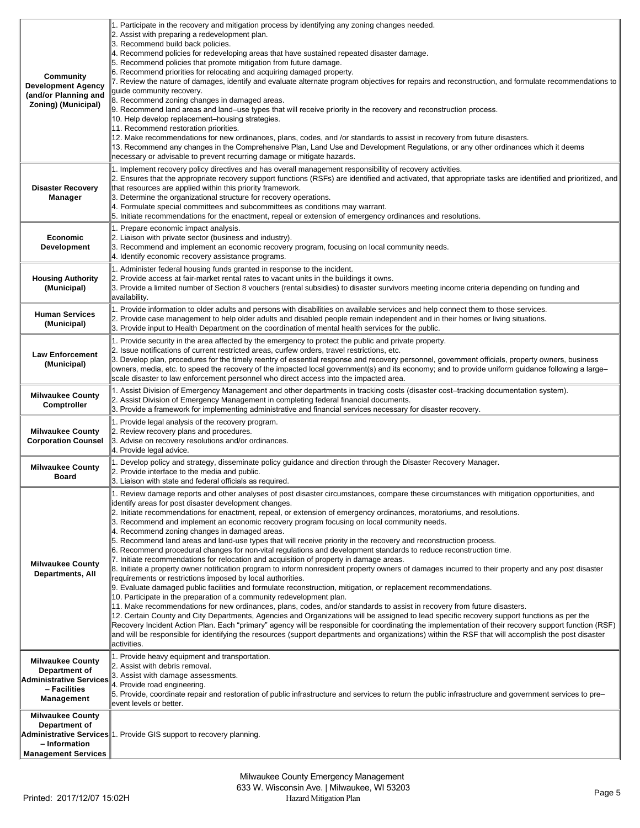| Community<br><b>Development Agency</b><br>(and/or Planning and<br>Zoning) (Municipal)             | 1. Participate in the recovery and mitigation process by identifying any zoning changes needed.<br>2. Assist with preparing a redevelopment plan.<br>3. Recommend build back policies.<br>$4$ . Recommend policies for redeveloping areas that have sustained repeated disaster damage.<br>5. Recommend policies that promote mitigation from future damage.<br>6. Recommend priorities for relocating and acquiring damaged property.<br>7. Review the nature of damages, identify and evaluate alternate program objectives for repairs and reconstruction, and formulate recommendations to<br>guide community recovery.<br>8. Recommend zoning changes in damaged areas.<br>9. Recommend land areas and land-use types that will receive priority in the recovery and reconstruction process.<br>10. Help develop replacement-housing strategies.<br>11. Recommend restoration priorities.<br>12. Make recommendations for new ordinances, plans, codes, and /or standards to assist in recovery from future disasters.<br>13. Recommend any changes in the Comprehensive Plan, Land Use and Development Regulations, or any other ordinances which it deems<br>necessary or advisable to prevent recurring damage or mitigate hazards.                                                                                                                                                                                                                                                                                                                                                                                                                                                                                                                                                                                                    |
|---------------------------------------------------------------------------------------------------|------------------------------------------------------------------------------------------------------------------------------------------------------------------------------------------------------------------------------------------------------------------------------------------------------------------------------------------------------------------------------------------------------------------------------------------------------------------------------------------------------------------------------------------------------------------------------------------------------------------------------------------------------------------------------------------------------------------------------------------------------------------------------------------------------------------------------------------------------------------------------------------------------------------------------------------------------------------------------------------------------------------------------------------------------------------------------------------------------------------------------------------------------------------------------------------------------------------------------------------------------------------------------------------------------------------------------------------------------------------------------------------------------------------------------------------------------------------------------------------------------------------------------------------------------------------------------------------------------------------------------------------------------------------------------------------------------------------------------------------------------------------------------------------------------------------------------------------------|
| <b>Disaster Recovery</b><br>Manager                                                               | 1. Implement recovery policy directives and has overall management responsibility of recovery activities.<br>2. Ensures that the appropriate recovery support functions (RSFs) are identified and activated, that appropriate tasks are identified and prioritized, and<br>that resources are applied within this priority framework.<br>3. Determine the organizational structure for recovery operations.<br>4. Formulate special committees and subcommittees as conditions may warrant.<br>5. Initiate recommendations for the enactment, repeal or extension of emergency ordinances and resolutions.                                                                                                                                                                                                                                                                                                                                                                                                                                                                                                                                                                                                                                                                                                                                                                                                                                                                                                                                                                                                                                                                                                                                                                                                                                     |
| <b>Economic</b><br><b>Development</b>                                                             | 1. Prepare economic impact analysis.<br>2. Liaison with private sector (business and industry).<br>3. Recommend and implement an economic recovery program, focusing on local community needs.<br>4. Identify economic recovery assistance programs.                                                                                                                                                                                                                                                                                                                                                                                                                                                                                                                                                                                                                                                                                                                                                                                                                                                                                                                                                                                                                                                                                                                                                                                                                                                                                                                                                                                                                                                                                                                                                                                           |
| <b>Housing Authority</b><br>(Municipal)                                                           | 1. Administer federal housing funds granted in response to the incident.<br>2. Provide access at fair-market rental rates to vacant units in the buildings it owns.<br>3. Provide a limited number of Section 8 vouchers (rental subsidies) to disaster survivors meeting income criteria depending on funding and<br>availability.                                                                                                                                                                                                                                                                                                                                                                                                                                                                                                                                                                                                                                                                                                                                                                                                                                                                                                                                                                                                                                                                                                                                                                                                                                                                                                                                                                                                                                                                                                            |
| <b>Human Services</b><br>(Municipal)                                                              | 1. Provide information to older adults and persons with disabilities on available services and help connect them to those services.<br>2. Provide case management to help older adults and disabled people remain independent and in their homes or living situations.<br>3. Provide input to Health Department on the coordination of mental health services for the public.                                                                                                                                                                                                                                                                                                                                                                                                                                                                                                                                                                                                                                                                                                                                                                                                                                                                                                                                                                                                                                                                                                                                                                                                                                                                                                                                                                                                                                                                  |
| <b>Law Enforcement</b><br>(Municipal)                                                             | 1. Provide security in the area affected by the emergency to protect the public and private property.<br>2. Issue notifications of current restricted areas, curfew orders, travel restrictions, etc.<br>3. Develop plan, procedures for the timely reentry of essential response and recovery personnel, government officials, property owners, business<br>owners, media, etc. to speed the recovery of the impacted local government(s) and its economy; and to provide uniform guidance following a large-<br>scale disaster to law enforcement personnel who direct access into the impacted area.                                                                                                                                                                                                                                                                                                                                                                                                                                                                                                                                                                                                                                                                                                                                                                                                                                                                                                                                                                                                                                                                                                                                                                                                                                        |
| <b>Milwaukee County</b><br>Comptroller                                                            | 1. Assist Division of Emergency Management and other departments in tracking costs (disaster cost-tracking documentation system).<br>2. Assist Division of Emergency Management in completing federal financial documents.<br>3. Provide a framework for implementing administrative and financial services necessary for disaster recovery.                                                                                                                                                                                                                                                                                                                                                                                                                                                                                                                                                                                                                                                                                                                                                                                                                                                                                                                                                                                                                                                                                                                                                                                                                                                                                                                                                                                                                                                                                                   |
| <b>Milwaukee County</b><br><b>Corporation Counsel</b>                                             | 1. Provide legal analysis of the recovery program.<br>2. Review recovery plans and procedures.<br>3. Advise on recovery resolutions and/or ordinances.<br>4. Provide legal advice.                                                                                                                                                                                                                                                                                                                                                                                                                                                                                                                                                                                                                                                                                                                                                                                                                                                                                                                                                                                                                                                                                                                                                                                                                                                                                                                                                                                                                                                                                                                                                                                                                                                             |
| <b>Milwaukee County</b><br><b>Board</b>                                                           | 1. Develop policy and strategy, disseminate policy guidance and direction through the Disaster Recovery Manager.<br>2. Provide interface to the media and public.<br>3. Liaison with state and federal officials as required.                                                                                                                                                                                                                                                                                                                                                                                                                                                                                                                                                                                                                                                                                                                                                                                                                                                                                                                                                                                                                                                                                                                                                                                                                                                                                                                                                                                                                                                                                                                                                                                                                  |
| <b>Milwaukee County</b><br><b>Departments, All</b>                                                | 1. Review damage reports and other analyses of post disaster circumstances, compare these circumstances with mitigation opportunities, and<br>lidentify areas for post disaster development changes.<br>2. Initiate recommendations for enactment, repeal, or extension of emergency ordinances, moratoriums, and resolutions.<br>3. Recommend and implement an economic recovery program focusing on local community needs.<br>4. Recommend zoning changes in damaged areas.<br>5. Recommend land areas and land-use types that will receive priority in the recovery and reconstruction process.<br>6. Recommend procedural changes for non-vital regulations and development standards to reduce reconstruction time.<br>7. Initiate recommendations for relocation and acquisition of property in damage areas.<br>8. Initiate a property owner notification program to inform nonresident property owners of damages incurred to their property and any post disaster<br>requirements or restrictions imposed by local authorities.<br>9. Evaluate damaged public facilities and formulate reconstruction, mitigation, or replacement recommendations.<br>10. Participate in the preparation of a community redevelopment plan.<br>11. Make recommendations for new ordinances, plans, codes, and/or standards to assist in recovery from future disasters.<br>12. Certain County and City Departments, Agencies and Organizations will be assigned to lead specific recovery support functions as per the<br>Recovery Incident Action Plan. Each "primary" agency will be responsible for coordinating the implementation of their recovery support function (RSF)<br>and will be responsible for identifying the resources (support departments and organizations) within the RSF that will accomplish the post disaster<br>activities. |
| <b>Milwaukee County</b><br>Department of<br>Administrative Services<br>- Facilities<br>Management | 1. Provide heavy equipment and transportation.<br>2. Assist with debris removal.<br>3. Assist with damage assessments.<br>4. Provide road engineering.<br>5. Provide, coordinate repair and restoration of public infrastructure and services to return the public infrastructure and government services to pre-<br>event levels or better.                                                                                                                                                                                                                                                                                                                                                                                                                                                                                                                                                                                                                                                                                                                                                                                                                                                                                                                                                                                                                                                                                                                                                                                                                                                                                                                                                                                                                                                                                                   |
| <b>Milwaukee County</b><br>Department of<br>- Information<br><b>Management Services</b>           | Administrative Services <sup>11</sup> . Provide GIS support to recovery planning.                                                                                                                                                                                                                                                                                                                                                                                                                                                                                                                                                                                                                                                                                                                                                                                                                                                                                                                                                                                                                                                                                                                                                                                                                                                                                                                                                                                                                                                                                                                                                                                                                                                                                                                                                              |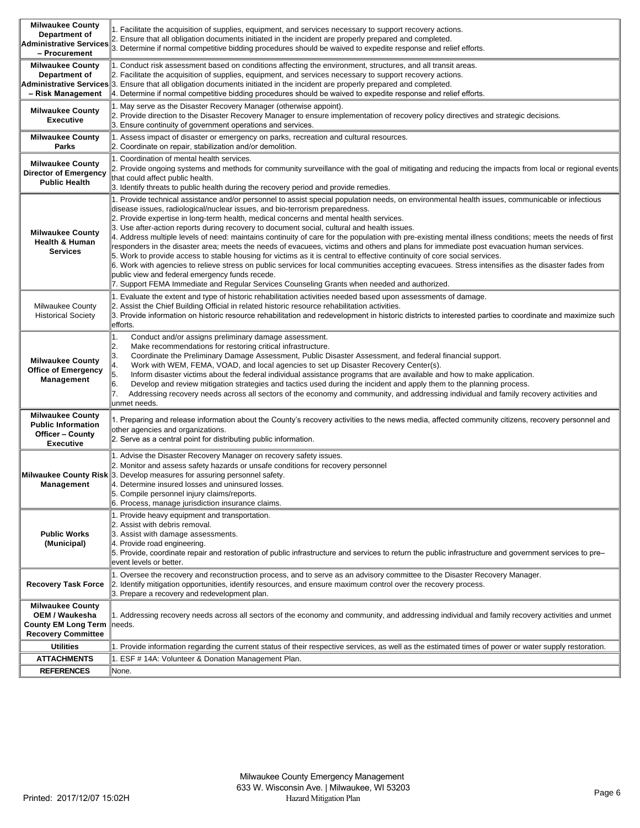| <b>Milwaukee County</b><br>Department of                                                             | 1. Facilitate the acquisition of supplies, equipment, and services necessary to support recovery actions.<br>2. Ensure that all obligation documents initiated in the incident are properly prepared and completed.                                                                                                                                                                                                                                                                                                                                                                                                                                                                                                                                                                                                                                                                                                                                                                                                                                                                                                                                                     |
|------------------------------------------------------------------------------------------------------|-------------------------------------------------------------------------------------------------------------------------------------------------------------------------------------------------------------------------------------------------------------------------------------------------------------------------------------------------------------------------------------------------------------------------------------------------------------------------------------------------------------------------------------------------------------------------------------------------------------------------------------------------------------------------------------------------------------------------------------------------------------------------------------------------------------------------------------------------------------------------------------------------------------------------------------------------------------------------------------------------------------------------------------------------------------------------------------------------------------------------------------------------------------------------|
| <b>Administrative Services</b><br>- Procurement                                                      | 3. Determine if normal competitive bidding procedures should be waived to expedite response and relief efforts.                                                                                                                                                                                                                                                                                                                                                                                                                                                                                                                                                                                                                                                                                                                                                                                                                                                                                                                                                                                                                                                         |
| <b>Milwaukee County</b><br>Department of<br>- Risk Management                                        | 1. Conduct risk assessment based on conditions affecting the environment, structures, and all transit areas.<br>2. Facilitate the acquisition of supplies, equipment, and services necessary to support recovery actions.<br>Administrative Services 3. Ensure that all obligation documents initiated in the incident are properly prepared and completed.<br>4. Determine if normal competitive bidding procedures should be waived to expedite response and relief efforts.                                                                                                                                                                                                                                                                                                                                                                                                                                                                                                                                                                                                                                                                                          |
| <b>Milwaukee County</b><br><b>Executive</b>                                                          | 1. May serve as the Disaster Recovery Manager (otherwise appoint).<br>2. Provide direction to the Disaster Recovery Manager to ensure implementation of recovery policy directives and strategic decisions.<br>3. Ensure continuity of government operations and services.                                                                                                                                                                                                                                                                                                                                                                                                                                                                                                                                                                                                                                                                                                                                                                                                                                                                                              |
| <b>Milwaukee County</b><br>Parks                                                                     | 1. Assess impact of disaster or emergency on parks, recreation and cultural resources.<br>2. Coordinate on repair, stabilization and/or demolition.                                                                                                                                                                                                                                                                                                                                                                                                                                                                                                                                                                                                                                                                                                                                                                                                                                                                                                                                                                                                                     |
| <b>Milwaukee County</b><br>Director of Emergency<br><b>Public Health</b>                             | 1. Coordination of mental health services.<br>2. Provide ongoing systems and methods for community surveillance with the goal of mitigating and reducing the impacts from local or regional events<br>that could affect public health.<br>3. Identify threats to public health during the recovery period and provide remedies.                                                                                                                                                                                                                                                                                                                                                                                                                                                                                                                                                                                                                                                                                                                                                                                                                                         |
| <b>Milwaukee County</b><br><b>Health &amp; Human</b><br><b>Services</b>                              | 1. Provide technical assistance and/or personnel to assist special population needs, on environmental health issues, communicable or infectious<br>disease issues, radiological/nuclear issues, and bio-terrorism preparedness.<br>2. Provide expertise in long-term health, medical concerns and mental health services.<br>3. Use after-action reports during recovery to document social, cultural and health issues.<br>4. Address multiple levels of need: maintains continuity of care for the population with pre-existing mental illness conditions; meets the needs of first<br>responders in the disaster area; meets the needs of evacuees, victims and others and plans for immediate post evacuation human services.<br>5. Work to provide access to stable housing for victims as it is central to effective continuity of core social services.<br>6. Work with agencies to relieve stress on public services for local communities accepting evacuees. Stress intensifies as the disaster fades from<br>public view and federal emergency funds recede.<br>7. Support FEMA Immediate and Regular Services Counseling Grants when needed and authorized. |
| <b>Milwaukee County</b><br><b>Historical Society</b>                                                 | 1. Evaluate the extent and type of historic rehabilitation activities needed based upon assessments of damage.<br>2. Assist the Chief Building Official in related historic resource rehabilitation activities.<br>3. Provide information on historic resource rehabilitation and redevelopment in historic districts to interested parties to coordinate and maximize such<br>efforts.                                                                                                                                                                                                                                                                                                                                                                                                                                                                                                                                                                                                                                                                                                                                                                                 |
| <b>Milwaukee County</b><br><b>Office of Emergency</b><br>Management                                  | Conduct and/or assigns preliminary damage assessment.<br>1.<br>2.<br>Make recommendations for restoring critical infrastructure.<br>3.<br>Coordinate the Preliminary Damage Assessment, Public Disaster Assessment, and federal financial support.<br>4.<br>Work with WEM, FEMA, VOAD, and local agencies to set up Disaster Recovery Center(s).<br>5.<br>Inform disaster victims about the federal individual assistance programs that are available and how to make application.<br>6.<br>Develop and review mitigation strategies and tactics used during the incident and apply them to the planning process.<br>17.<br>Addressing recovery needs across all sectors of the economy and community, and addressing individual and family recovery activities and<br>unmet needs.                                                                                                                                                                                                                                                                                                                                                                                     |
| <b>Milwaukee County</b><br><b>Public Information</b><br><b>Officer - County</b><br><b>Executive</b>  | 1. Preparing and release information about the County's recovery activities to the news media, affected community citizens, recovery personnel and<br>other agencies and organizations.<br>2. Serve as a central point for distributing public information.                                                                                                                                                                                                                                                                                                                                                                                                                                                                                                                                                                                                                                                                                                                                                                                                                                                                                                             |
| Management                                                                                           | 1. Advise the Disaster Recovery Manager on recovery safety issues.<br>2. Monitor and assess safety hazards or unsafe conditions for recovery personnel<br>Milwaukee County Risk 3. Develop measures for assuring personnel safety.<br>4. Determine insured losses and uninsured losses.<br>5. Compile personnel injury claims/reports.<br>6. Process, manage jurisdiction insurance claims.                                                                                                                                                                                                                                                                                                                                                                                                                                                                                                                                                                                                                                                                                                                                                                             |
| <b>Public Works</b><br>(Municipal)                                                                   | 1. Provide heavy equipment and transportation.<br>2. Assist with debris removal.<br>3. Assist with damage assessments.<br>4. Provide road engineering.<br>5. Provide, coordinate repair and restoration of public infrastructure and services to return the public infrastructure and government services to pre-<br>event levels or better.                                                                                                                                                                                                                                                                                                                                                                                                                                                                                                                                                                                                                                                                                                                                                                                                                            |
| <b>Recovery Task Force</b>                                                                           | 1. Oversee the recovery and reconstruction process, and to serve as an advisory committee to the Disaster Recovery Manager.<br>2. Identify mitigation opportunities, identify resources, and ensure maximum control over the recovery process.<br>3. Prepare a recovery and redevelopment plan.                                                                                                                                                                                                                                                                                                                                                                                                                                                                                                                                                                                                                                                                                                                                                                                                                                                                         |
| <b>Milwaukee County</b><br>OEM / Waukesha<br><b>County EM Long Term</b><br><b>Recovery Committee</b> | 1. Addressing recovery needs across all sectors of the economy and community, and addressing individual and family recovery activities and unmet<br> needs.                                                                                                                                                                                                                                                                                                                                                                                                                                                                                                                                                                                                                                                                                                                                                                                                                                                                                                                                                                                                             |
| <b>Utilities</b>                                                                                     | 1. Provide information regarding the current status of their respective services, as well as the estimated times of power or water supply restoration.                                                                                                                                                                                                                                                                                                                                                                                                                                                                                                                                                                                                                                                                                                                                                                                                                                                                                                                                                                                                                  |
| <b>ATTACHMENTS</b>                                                                                   | 1. ESF # 14A: Volunteer & Donation Management Plan.                                                                                                                                                                                                                                                                                                                                                                                                                                                                                                                                                                                                                                                                                                                                                                                                                                                                                                                                                                                                                                                                                                                     |
| <b>REFERENCES</b>                                                                                    | None.                                                                                                                                                                                                                                                                                                                                                                                                                                                                                                                                                                                                                                                                                                                                                                                                                                                                                                                                                                                                                                                                                                                                                                   |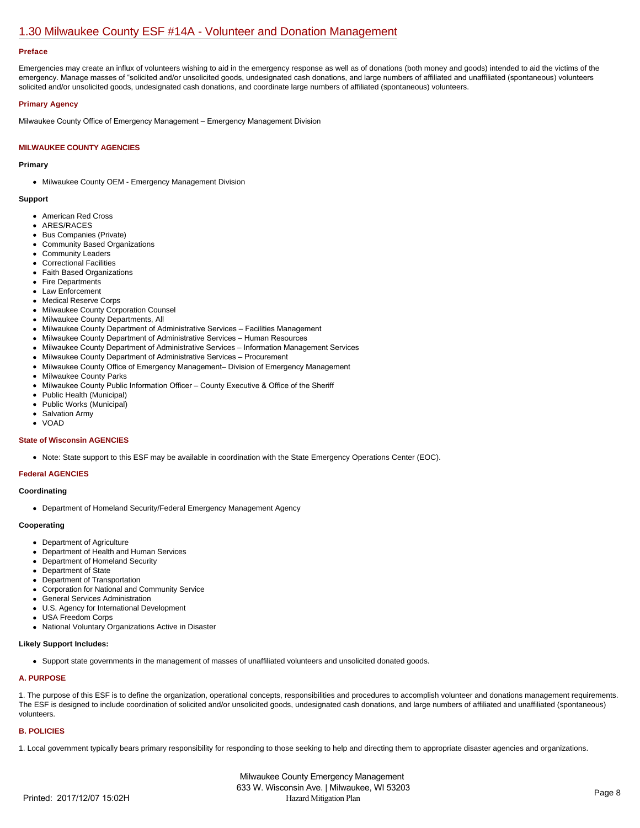# [1.30 Milwaukee County ESF #14A - Volunteer and Donation Management](https://milwaukeecounty.isc-cemp.com/Cemp/Details?id=5805906)

#### **Preface**

Emergencies may create an influx of volunteers wishing to aid in the emergency response as well as of donations (both money and goods) intended to aid the victims of the emergency. Manage masses of "solicited and/or unsolicited goods, undesignated cash donations, and large numbers of affiliated and unaffiliated (spontaneous) volunteers solicited and/or unsolicited goods, undesignated cash donations, and coordinate large numbers of affiliated (spontaneous) volunteers.

# **Primary Agency**

Milwaukee County Office of Emergency Management – Emergency Management Division

# **MILWAUKEE COUNTY AGENCIES**

# **Primary**

• Milwaukee County OEM - Emergency Management Division

#### **Support**

- American Red Cross
- ARES/RACES
- Bus Companies (Private)
- Community Based Organizations
- Community Leaders
- Correctional Facilities
- Faith Based Organizations
- Fire Departments
- Law Enforcement
- Medical Reserve Corps
- Milwaukee County Corporation Counsel
- Milwaukee County Departments, All
- Milwaukee County Department of Administrative Services Facilities Management
- Milwaukee County Department of Administrative Services Human Resources
- Milwaukee County Department of Administrative Services Information Management Services
- Milwaukee County Department of Administrative Services Procurement
- Milwaukee County Office of Emergency Management– Division of Emergency Management
- Milwaukee County Parks  $\bullet$
- Milwaukee County Public Information Officer County Executive & Office of the Sheriff
- Public Health (Municipal)  $\bullet$
- $\bullet$ Public Works (Municipal)
- Salvation Army
- VOAD

#### **State of Wisconsin AGENCIES**

• Note: State support to this ESF may be available in coordination with the State Emergency Operations Center (EOC).

# **Federal AGENCIES**

#### **Coordinating**

Department of Homeland Security/Federal Emergency Management Agency

#### **Cooperating**

- Department of Agriculture
- Department of Health and Human Services
- Department of Homeland Security
- Department of State
- Department of Transportation
- Corporation for National and Community Service
- General Services Administration
- U.S. Agency for International Development  $\bullet$
- USA Freedom Corps
- National Voluntary Organizations Active in Disaster  $\bullet$

# **Likely Support Includes:**

Support state governments in the management of masses of unaffiliated volunteers and unsolicited donated goods.

# **A. PURPOSE**

1. The purpose of this ESF is to define the organization, operational concepts, responsibilities and procedures to accomplish volunteer and donations management requirements. The ESF is designed to include coordination of solicited and/or unsolicited goods, undesignated cash donations, and large numbers of affiliated and unaffiliated (spontaneous) volunteers.

# **B. POLICIES**

1. Local government typically bears primary responsibility for responding to those seeking to help and directing them to appropriate disaster agencies and organizations.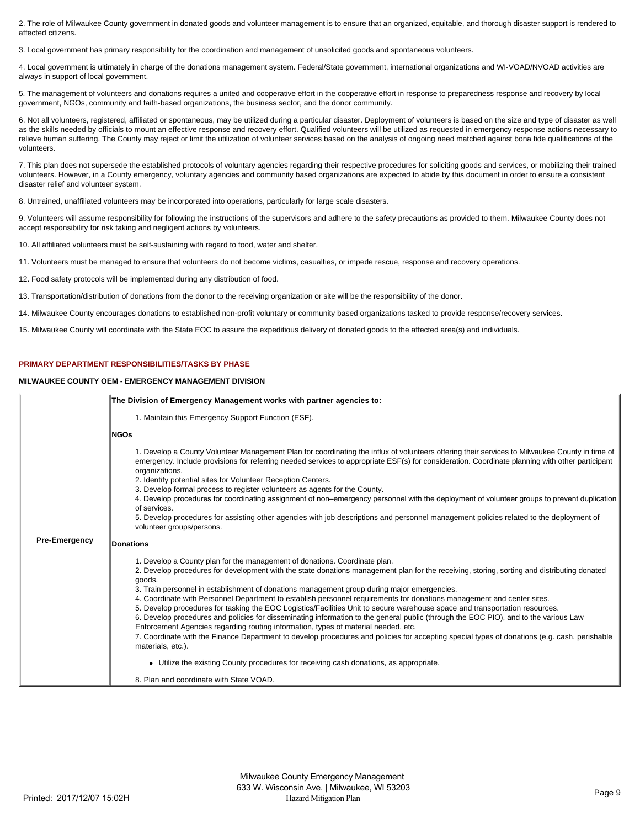2. The role of Milwaukee County government in donated goods and volunteer management is to ensure that an organized, equitable, and thorough disaster support is rendered to affected citizens.

3. Local government has primary responsibility for the coordination and management of unsolicited goods and spontaneous volunteers.

4. Local government is ultimately in charge of the donations management system. Federal/State government, international organizations and WI-VOAD/NVOAD activities are always in support of local government.

5. The management of volunteers and donations requires a united and cooperative effort in the cooperative effort in response to preparedness response and recovery by local government, NGOs, community and faith-based organizations, the business sector, and the donor community.

6. Not all volunteers, registered, affiliated or spontaneous, may be utilized during a particular disaster. Deployment of volunteers is based on the size and type of disaster as well as the skills needed by officials to mount an effective response and recovery effort. Qualified volunteers will be utilized as requested in emergency response actions necessary to relieve human suffering. The County may reject or limit the utilization of volunteer services based on the analysis of ongoing need matched against bona fide qualifications of the volunteers.

7. This plan does not supersede the established protocols of voluntary agencies regarding their respective procedures for soliciting goods and services, or mobilizing their trained volunteers. However, in a County emergency, voluntary agencies and community based organizations are expected to abide by this document in order to ensure a consistent disaster relief and volunteer system.

8. Untrained, unaffiliated volunteers may be incorporated into operations, particularly for large scale disasters.

9. Volunteers will assume responsibility for following the instructions of the supervisors and adhere to the safety precautions as provided to them. Milwaukee County does not accept responsibility for risk taking and negligent actions by volunteers.

10. All affiliated volunteers must be self-sustaining with regard to food, water and shelter.

11. Volunteers must be managed to ensure that volunteers do not become victims, casualties, or impede rescue, response and recovery operations.

12. Food safety protocols will be implemented during any distribution of food.

13. Transportation/distribution of donations from the donor to the receiving organization or site will be the responsibility of the donor.

14. Milwaukee County encourages donations to established non-profit voluntary or community based organizations tasked to provide response/recovery services.

15. Milwaukee County will coordinate with the State EOC to assure the expeditious delivery of donated goods to the affected area(s) and individuals.

#### **PRIMARY DEPARTMENT RESPONSIBILITIES/TASKS BY PHASE**

#### **MILWAUKEE COUNTY OEM - EMERGENCY MANAGEMENT DIVISION**

|                      | The Division of Emergency Management works with partner agencies to:                                                                                                                                                                                                                                                                                                                                                                                                                                                                                                                                                                                                                                                                                                                                                                                                                                                                                                                           |
|----------------------|------------------------------------------------------------------------------------------------------------------------------------------------------------------------------------------------------------------------------------------------------------------------------------------------------------------------------------------------------------------------------------------------------------------------------------------------------------------------------------------------------------------------------------------------------------------------------------------------------------------------------------------------------------------------------------------------------------------------------------------------------------------------------------------------------------------------------------------------------------------------------------------------------------------------------------------------------------------------------------------------|
|                      | 1. Maintain this Emergency Support Function (ESF).                                                                                                                                                                                                                                                                                                                                                                                                                                                                                                                                                                                                                                                                                                                                                                                                                                                                                                                                             |
|                      | <b>NGOs</b>                                                                                                                                                                                                                                                                                                                                                                                                                                                                                                                                                                                                                                                                                                                                                                                                                                                                                                                                                                                    |
|                      | 1. Develop a County Volunteer Management Plan for coordinating the influx of volunteers offering their services to Milwaukee County in time of<br>emergency. Include provisions for referring needed services to appropriate ESF(s) for consideration. Coordinate planning with other participant<br>organizations.<br>2. Identify potential sites for Volunteer Reception Centers.<br>3. Develop formal process to register volunteers as agents for the County.<br>4. Develop procedures for coordinating assignment of non-emergency personnel with the deployment of volunteer groups to prevent duplication<br>of services.<br>5. Develop procedures for assisting other agencies with job descriptions and personnel management policies related to the deployment of<br>volunteer groups/persons.                                                                                                                                                                                       |
| <b>Pre-Emergency</b> | Donations                                                                                                                                                                                                                                                                                                                                                                                                                                                                                                                                                                                                                                                                                                                                                                                                                                                                                                                                                                                      |
|                      | 1. Develop a County plan for the management of donations. Coordinate plan.<br>2. Develop procedures for development with the state donations management plan for the receiving, storing, sorting and distributing donated<br>goods.<br>3. Train personnel in establishment of donations management group during major emergencies.<br>4. Coordinate with Personnel Department to establish personnel requirements for donations management and center sites.<br>5. Develop procedures for tasking the EOC Logistics/Facilities Unit to secure warehouse space and transportation resources.<br>6. Develop procedures and policies for disseminating information to the general public (through the EOC PIO), and to the various Law<br>Enforcement Agencies regarding routing information, types of material needed, etc.<br>7. Coordinate with the Finance Department to develop procedures and policies for accepting special types of donations (e.g. cash, perishable<br>materials, etc.). |
|                      | • Utilize the existing County procedures for receiving cash donations, as appropriate.                                                                                                                                                                                                                                                                                                                                                                                                                                                                                                                                                                                                                                                                                                                                                                                                                                                                                                         |
|                      | 8. Plan and coordinate with State VOAD.                                                                                                                                                                                                                                                                                                                                                                                                                                                                                                                                                                                                                                                                                                                                                                                                                                                                                                                                                        |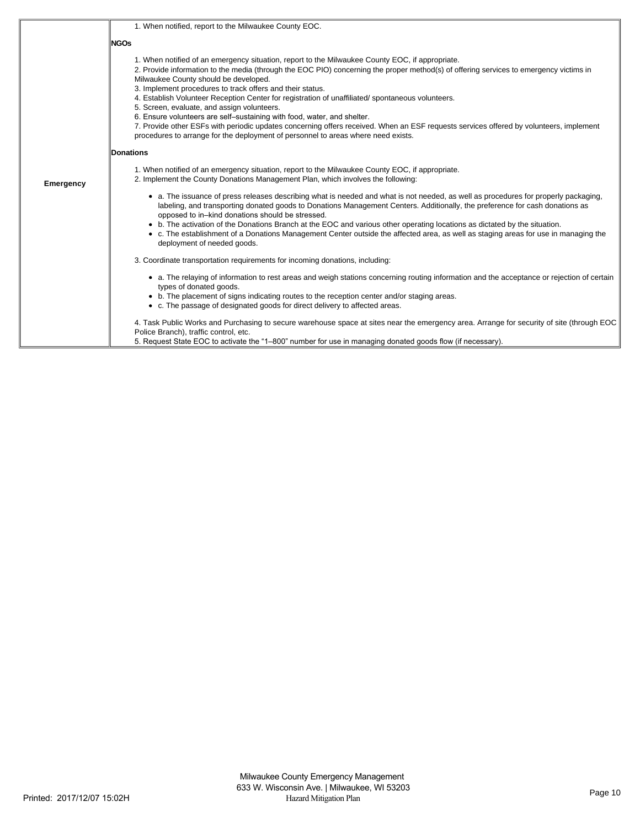|           | 1. When notified, report to the Milwaukee County EOC.                                                                                                                                                                                                                                                                                                                                                                                                                                                                                                                                                                                                                                                                                                                                                        |
|-----------|--------------------------------------------------------------------------------------------------------------------------------------------------------------------------------------------------------------------------------------------------------------------------------------------------------------------------------------------------------------------------------------------------------------------------------------------------------------------------------------------------------------------------------------------------------------------------------------------------------------------------------------------------------------------------------------------------------------------------------------------------------------------------------------------------------------|
|           | <b>NGOs</b>                                                                                                                                                                                                                                                                                                                                                                                                                                                                                                                                                                                                                                                                                                                                                                                                  |
|           | 1. When notified of an emergency situation, report to the Milwaukee County EOC, if appropriate.<br>2. Provide information to the media (through the EOC PIO) concerning the proper method(s) of offering services to emergency victims in<br>Milwaukee County should be developed.<br>3. Implement procedures to track offers and their status.<br>4. Establish Volunteer Reception Center for registration of unaffiliated/spontaneous volunteers.<br>5. Screen, evaluate, and assign volunteers.<br>6. Ensure volunteers are self-sustaining with food, water, and shelter.<br>7. Provide other ESFs with periodic updates concerning offers received. When an ESF requests services offered by volunteers, implement<br>procedures to arrange for the deployment of personnel to areas where need exists. |
|           | Donations                                                                                                                                                                                                                                                                                                                                                                                                                                                                                                                                                                                                                                                                                                                                                                                                    |
| Emergency | 1. When notified of an emergency situation, report to the Milwaukee County EOC, if appropriate.<br>2. Implement the County Donations Management Plan, which involves the following:                                                                                                                                                                                                                                                                                                                                                                                                                                                                                                                                                                                                                          |
|           | • a. The issuance of press releases describing what is needed and what is not needed, as well as procedures for properly packaging,<br>labeling, and transporting donated goods to Donations Management Centers. Additionally, the preference for cash donations as<br>opposed to in-kind donations should be stressed.                                                                                                                                                                                                                                                                                                                                                                                                                                                                                      |
|           | • b. The activation of the Donations Branch at the EOC and various other operating locations as dictated by the situation.<br>• c. The establishment of a Donations Management Center outside the affected area, as well as staging areas for use in managing the<br>deployment of needed goods.                                                                                                                                                                                                                                                                                                                                                                                                                                                                                                             |
|           | 3. Coordinate transportation requirements for incoming donations, including:                                                                                                                                                                                                                                                                                                                                                                                                                                                                                                                                                                                                                                                                                                                                 |
|           | • a. The relaying of information to rest areas and weigh stations concerning routing information and the acceptance or rejection of certain<br>types of donated goods.<br>• b. The placement of signs indicating routes to the reception center and/or staging areas.<br>• c. The passage of designated goods for direct delivery to affected areas.                                                                                                                                                                                                                                                                                                                                                                                                                                                         |
|           | 4. Task Public Works and Purchasing to secure warehouse space at sites near the emergency area. Arrange for security of site (through EOC<br>Police Branch), traffic control, etc.<br>5. Request State EOC to activate the "1–800" number for use in managing donated goods flow (if necessary).                                                                                                                                                                                                                                                                                                                                                                                                                                                                                                             |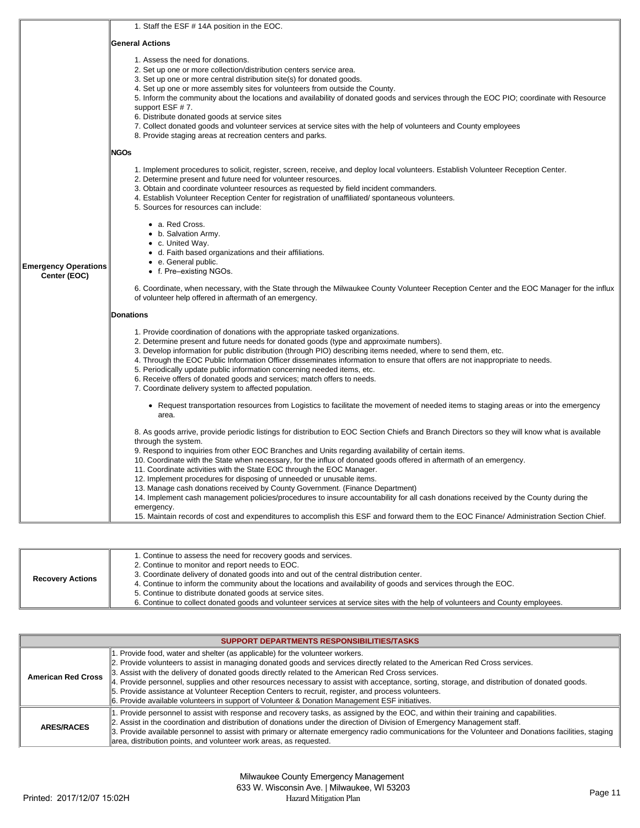|                                             | 1. Staff the ESF # 14A position in the EOC.                                                                                                                                                                                                                                                                                                                                                                                                                                                                                                                                                                                                                        |
|---------------------------------------------|--------------------------------------------------------------------------------------------------------------------------------------------------------------------------------------------------------------------------------------------------------------------------------------------------------------------------------------------------------------------------------------------------------------------------------------------------------------------------------------------------------------------------------------------------------------------------------------------------------------------------------------------------------------------|
|                                             | <b>General Actions</b>                                                                                                                                                                                                                                                                                                                                                                                                                                                                                                                                                                                                                                             |
|                                             | 1. Assess the need for donations.<br>2. Set up one or more collection/distribution centers service area.<br>3. Set up one or more central distribution site(s) for donated goods.<br>4. Set up one or more assembly sites for volunteers from outside the County.<br>5. Inform the community about the locations and availability of donated goods and services through the EOC PIO; coordinate with Resource<br>support ESF #7.<br>6. Distribute donated goods at service sites<br>7. Collect donated goods and volunteer services at service sites with the help of volunteers and County employees<br>8. Provide staging areas at recreation centers and parks. |
|                                             | <b>NGOs</b>                                                                                                                                                                                                                                                                                                                                                                                                                                                                                                                                                                                                                                                        |
|                                             | 1. Implement procedures to solicit, register, screen, receive, and deploy local volunteers. Establish Volunteer Reception Center.<br>2. Determine present and future need for volunteer resources.<br>3. Obtain and coordinate volunteer resources as requested by field incident commanders.<br>4. Establish Volunteer Reception Center for registration of unaffiliated/spontaneous volunteers.<br>5. Sources for resources can include:                                                                                                                                                                                                                         |
| <b>Emergency Operations</b><br>Center (EOC) | • a. Red Cross.<br>• b. Salvation Army.<br>$\bullet$ c. United Way.<br>• d. Faith based organizations and their affiliations.<br>• e. General public.<br>• f. Pre-existing NGOs.                                                                                                                                                                                                                                                                                                                                                                                                                                                                                   |
|                                             | 6. Coordinate, when necessary, with the State through the Milwaukee County Volunteer Reception Center and the EOC Manager for the influx<br>of volunteer help offered in aftermath of an emergency.                                                                                                                                                                                                                                                                                                                                                                                                                                                                |
|                                             | <b>Donations</b>                                                                                                                                                                                                                                                                                                                                                                                                                                                                                                                                                                                                                                                   |
|                                             | 1. Provide coordination of donations with the appropriate tasked organizations.<br>2. Determine present and future needs for donated goods (type and approximate numbers).<br>3. Develop information for public distribution (through PIO) describing items needed, where to send them, etc.<br>4. Through the EOC Public Information Officer disseminates information to ensure that offers are not inappropriate to needs.<br>5. Periodically update public information concerning needed items, etc.<br>6. Receive offers of donated goods and services; match offers to needs.<br>7. Coordinate delivery system to affected population.                        |
|                                             | • Request transportation resources from Logistics to facilitate the movement of needed items to staging areas or into the emergency<br>area.                                                                                                                                                                                                                                                                                                                                                                                                                                                                                                                       |
|                                             | 8. As goods arrive, provide periodic listings for distribution to EOC Section Chiefs and Branch Directors so they will know what is available<br>through the system.<br>9. Respond to inquiries from other EOC Branches and Units regarding availability of certain items.<br>10. Coordinate with the State when necessary, for the influx of donated goods offered in aftermath of an emergency.<br>11. Coordinate activities with the State EOC through the EOC Manager.<br>12. Implement procedures for disposing of unneeded or unusable items.                                                                                                                |
|                                             | 13. Manage cash donations received by County Government. (Finance Department)<br>14. Implement cash management policies/procedures to insure accountability for all cash donations received by the County during the<br>emergency.<br>15. Maintain records of cost and expenditures to accomplish this ESF and forward them to the EOC Finance/Administration Section Chief.                                                                                                                                                                                                                                                                                       |

| <b>Recovery Actions</b> | 1. Continue to assess the need for recovery goods and services.<br>2. Continue to monitor and report needs to EOC.<br>3. Coordinate delivery of donated goods into and out of the central distribution center.<br>4. Continue to inform the community about the locations and availability of goods and services through the EOC.<br>5. Continue to distribute donated goods at service sites. |
|-------------------------|------------------------------------------------------------------------------------------------------------------------------------------------------------------------------------------------------------------------------------------------------------------------------------------------------------------------------------------------------------------------------------------------|
|                         | 6. Continue to collect donated goods and volunteer services at service sites with the help of volunteers and County employees.                                                                                                                                                                                                                                                                 |

| SUPPORT DEPARTMENTS RESPONSIBILITIES/TASKS |                                                                                                                                                                                                                                                                                                                                                                                                                                                                                                                                                                                                                                                                           |  |
|--------------------------------------------|---------------------------------------------------------------------------------------------------------------------------------------------------------------------------------------------------------------------------------------------------------------------------------------------------------------------------------------------------------------------------------------------------------------------------------------------------------------------------------------------------------------------------------------------------------------------------------------------------------------------------------------------------------------------------|--|
| <b>American Red Cross</b>                  | 1. Provide food, water and shelter (as applicable) for the volunteer workers.<br>2. Provide volunteers to assist in managing donated goods and services directly related to the American Red Cross services.<br>3. Assist with the delivery of donated goods directly related to the American Red Cross services.<br>4. Provide personnel, supplies and other resources necessary to assist with acceptance, sorting, storage, and distribution of donated goods.<br>5. Provide assistance at Volunteer Reception Centers to recruit, register, and process volunteers.<br>6. Provide available volunteers in support of Volunteer & Donation Management ESF initiatives. |  |
| <b>ARES/RACES</b>                          | 1. Provide personnel to assist with response and recovery tasks, as assigned by the EOC, and within their training and capabilities.<br>2. Assist in the coordination and distribution of donations under the direction of Division of Emergency Management staff.<br>3. Provide available personnel to assist with primary or alternate emergency radio communications for the Volunteer and Donations facilities, staging<br>area, distribution points, and volunteer work areas, as requested.                                                                                                                                                                         |  |